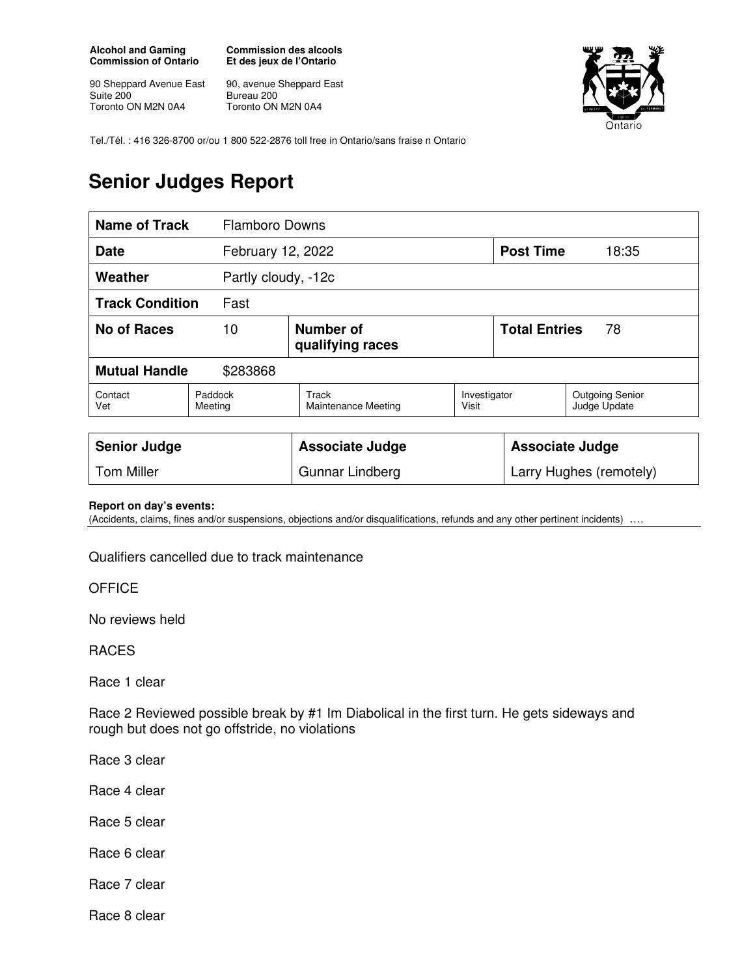**Alcohol and Gaming Commission of Ontario** 

90 Sheppard Avenue East Suite 200 Toronto ON M2N 0A4

**Commission des alcools Et des jeux de l'Ontario** 

90, avenue Sheppard East Bureau 200 Toronto ON M2N 0A4



Tel./Tél. : 416 326-8700 or/ou 1 800 522-2876 toll free in Ontario/sans fraise n Ontario

## **Senior Judges Report**

| <b>Name of Track</b>             |                    | <b>Flamboro Downs</b>                |                       |                            |                                        |  |
|----------------------------------|--------------------|--------------------------------------|-----------------------|----------------------------|----------------------------------------|--|
| <b>Date</b>                      |                    | February 12, 2022                    |                       | <b>Post Time</b>           | 18:35                                  |  |
| Weather                          |                    | Partly cloudy, -12c                  |                       |                            |                                        |  |
| <b>Track Condition</b><br>Fast   |                    |                                      |                       |                            |                                        |  |
| <b>No of Races</b>               | 10                 | <b>Number of</b><br>qualifying races |                       | <b>Total Entries</b><br>78 |                                        |  |
| <b>Mutual Handle</b><br>\$283868 |                    |                                      |                       |                            |                                        |  |
| Contact<br>Vet                   | Paddock<br>Meeting | Track<br><b>Maintenance Meeting</b>  | Investigator<br>Visit |                            | <b>Outgoing Senior</b><br>Judge Update |  |
|                                  |                    |                                      |                       |                            |                                        |  |

| <b>Senior Judge</b> | Associate Judge | Associate Judge         |
|---------------------|-----------------|-------------------------|
| <b>Tom Miller</b>   | Gunnar Lindberg | Larry Hughes (remotely) |

## **Report on day's events:**

(Accidents, claims, fines and/or suspensions, objections and/or disqualifications, refunds and any other pertinent incidents) ….

Qualifiers cancelled due to track maintenance

**OFFICE** 

No reviews held

RACES

Race 1 clear

Race 2 Reviewed possible break by #1 Im Diabolical in the first turn. He gets sideways and rough but does not go offstride, no violations

Race 3 clear

Race 4 clear

Race 5 clear

Race 6 clear

Race 7 clear

Race 8 clear